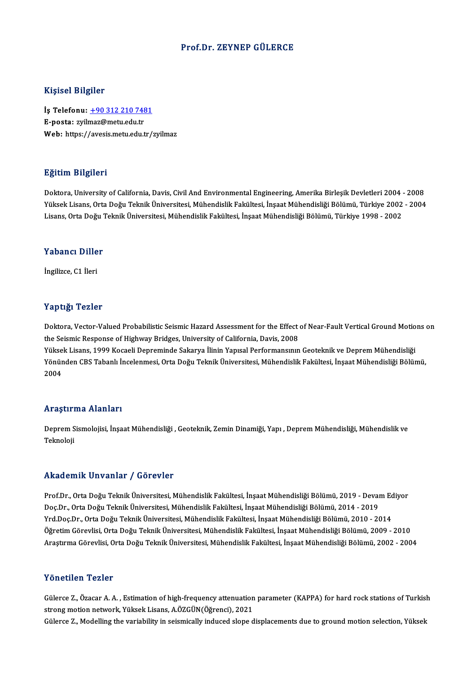#### Prof.Dr. ZEYNEP GÜLERCE

#### Kişisel Bilgiler

Kişisel Bilgiler<br>İş Telefonu: <u>+90 312 210 7481</u><br>E nosta: <u>wilmaz@mstuadutr</u> 11191001 Dugnot<br>İş Telefonu: <u>+90 312 210 748</u><br>E-posta: zyil[maz@metu.edu.tr](tel:+90 312 210 7481) E-posta: zyilmaz@metu.edu.tr<br>Web: https://avesis.metu.edu.tr/zyilmaz

### Eğitim Bilgileri

Doktora, University of California, Davis, Civil And Environmental Engineering, Amerika Birleşik Devletleri 2004 - 2008 23.<br>1998-Yüksek Jiniversity of California, Davis, Civil And Environmental Engineering, Amerika Birleşik Devletleri<br>Yüksek Lisans, Orta Doğu Teknik Üniversitesi, Mühendislik Fakültesi, İnşaat Mühendisliği Bölümü, Türkiye 20 Doktora, University of California, Davis, Civil And Environmental Engineering, Amerika Birleşik Devletleri 2004<br>Yüksek Lisans, Orta Doğu Teknik Üniversitesi, Mühendislik Fakültesi, İnşaat Mühendisliği Bölümü, Türkiye 2002<br> Lisans, Orta Doğu Teknik Üniversitesi, Mühendislik Fakültesi, İnşaat Mühendisliği Bölümü, Türkiye 1998 - 2002<br>Yabancı Diller

İngilizce,C1 İleri

### Yaptığı Tezler

Yaptığı Tezler<br>Doktora, Vector-Valued Probabilistic Seismic Hazard Assessment for the Effect of Near-Fault Vertical Ground Motions on<br>the Seismic Besnanse of Highuay Bridges, University of California, Davis, 2009 the Seist-Tourist<br>Doktora, Vector-Valued Probabilistic Seismic Hazard Assessment for the Effect<br>the Seismic Response of Highway Bridges, University of California, Davis, 2008<br>Vikeek Lisans, 1999 Kesaali Denreminde Sekarya Doktora, Vector-Valued Probabilistic Seismic Hazard Assessment for the Effect of Near-Fault Vertical Ground Motio<br>the Seismic Response of Highway Bridges, University of California, Davis, 2008<br>Yüksek Lisans, 1999 Kocaeli D the Seismic Response of Highway Bridges, University of California, Davis, 2008<br>Yüksek Lisans, 1999 Kocaeli Depreminde Sakarya İlinin Yapısal Performansının Geoteknik ve Deprem Mühendisliği<br>Yönünden CBS Tabanlı İncelenmesi, Yükse<br>Yönür<br>2004

# Araştırma Alanları

**Araştırma Alanları**<br>Deprem Sismolojisi, İnşaat Mühendisliği , Geoteknik, Zemin Dinamiği, Yapı , Deprem Mühendisliği, Mühendislik ve<br>Telmeleji nn ayen 1<br>Deprem S<br>Teknoloji

## Akademik Unvanlar / Görevler

Akademik Unvanlar / Görevler<br>Prof.Dr., Orta Doğu Teknik Üniversitesi, Mühendislik Fakültesi, İnşaat Mühendisliği Bölümü, 2019 - Devam Ediyor<br>Des Dr., Orta Doğu Teknik Üniversitesi, Mühendislik Fakültesi, İnsaat Mühendisliğ rındu olirin "Oli vurini" 7" u oli ovror<br>Prof.Dr., Orta Doğu Teknik Üniversitesi, Mühendislik Fakültesi, İnşaat Mühendisliği Bölümü, 2019 - Devai<br>Doç.Dr., Orta Doğu Teknik Üniversitesi, Mühendislik Fakültesi, İnşaat Mühend Prof.Dr., Orta Doğu Teknik Üniversitesi, Mühendislik Fakültesi, İnşaat Mühendisliği Bölümü, 2019 - Devam Ec<br>Doç.Dr., Orta Doğu Teknik Üniversitesi, Mühendislik Fakültesi, İnşaat Mühendisliği Bölümü, 2014 - 2019<br>Yrd.Doç.Dr. Doç.Dr., Orta Doğu Teknik Üniversitesi, Mühendislik Fakültesi, İnşaat Mühendisliği Bölümü, 2014 - 2019<br>Yrd.Doç.Dr., Orta Doğu Teknik Üniversitesi, Mühendislik Fakültesi, İnşaat Mühendisliği Bölümü, 2010 - 2014<br>Öğretim Göre Yrd.Doç.Dr., Orta Doğu Teknik Üniversitesi, Mühendislik Fakültesi, İnşaat Mühendisliği Bölümü, 2010 - 2014<br>Öğretim Görevlisi, Orta Doğu Teknik Üniversitesi, Mühendislik Fakültesi, İnşaat Mühendisliği Bölümü, 2009 - 2010<br>Ar Araştırma Görevlisi, Orta Doğu Teknik Üniversitesi, Mühendislik Fakültesi, İnşaat Mühendisliği Bölümü, 2002 - 2004<br>Yönetilen Tezler

Yönetilen Tezler<br>Gülerce Z., Özacar A. A. , Estimation of high-frequency attenuation parameter (KAPPA) for hard rock stations of Turkish<br>streng metien netwerk, Yüksek Lisans, A ÖZCÜN(Öğrensi), 2021 strongmotionnetwork.<br>Strong motion network, Yüksek Lisans, A.ÖZGÜN(Öğrenci), 2021<br>Sülares 7. Madalling the variability in seismiselly indused alans d Gülerce Z., Özacar A. A. , Estimation of high-frequency attenuation parameter (KAPPA) for hard rock stations of Turkisl<br>strong motion network, Yüksek Lisans, A.ÖZGÜN(Öğrenci), 2021<br>Gülerce Z., Modelling the variability in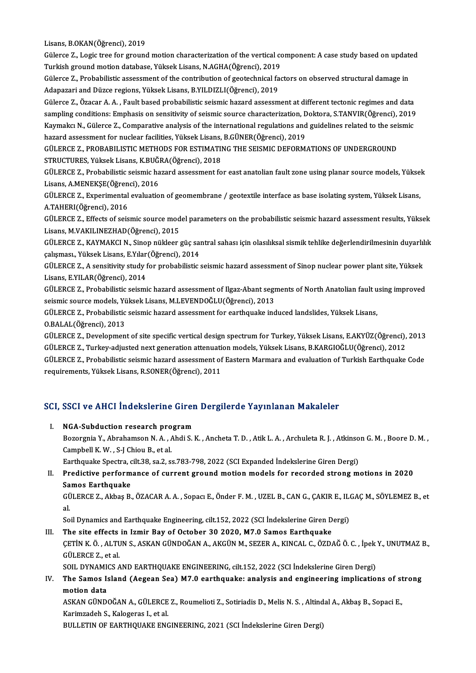Lisans, B.OKAN(Öğrenci), 2019

Lisans, B.OKAN(Öğrenci), 2019<br>Gülerce Z., Logic tree for ground motion characterization of the vertical component: A case study based on updated<br>Turkish ground metion database, Vültsek Lisans, N ACHA(Öğrensi), 2019 Lisans, B.OKAN(Öğrenci), 2019<br>Gülerce Z., Logic tree for ground motion characterization of the vertical co<br>Turkish ground motion database, Yüksek Lisans, N.AGHA(Öğrenci), 2019<br>Sülerse Z., Prebebilistis assessment of the se Gülerce Z., Logic tree for ground motion characterization of the vertical component: A case study based on updat<br>Turkish ground motion database, Yüksek Lisans, N.AGHA(Öğrenci), 2019<br>Gülerce Z., Probabilistic assessment of

Turkish ground motion database, Yüksek Lisans, N.AGHA(Öğrenci), 2019<br>Gülerce Z., Probabilistic assessment of the contribution of geotechnical factors on observed structural damage in<br>Adapazari and Düzce regions, Yüksek Lis

Gülerce Z., Özacar A.A., Fault based probabilistic seismic hazard assessment at different tectonic regimes and data Adapazari and Düzce regions, Yüksek Lisans, B.YILDIZLI(Öğrenci), 2019<br>Gülerce Z., Özacar A. A. , Fault based probabilistic seismic hazard assessment at different tectonic regimes and data<br>sampling conditions: Emphasis on s Gülerce Z., Özacar A. A. , Fault based probabilistic seismic hazard assessment at different tectonic regimes and data<br>sampling conditions: Emphasis on sensitivity of seismic source characterization, Doktora, S.TANVIR(Öğren sampling conditions: Emphasis on sensitivity of seismic source characterization, D<br>Kaymakcı N., Gülerce Z., Comparative analysis of the international regulations and<br>hazard assessment for nuclear facilities, Yüksek Lisans, Kaymakcı N., Gülerce Z., Comparative analysis of the international regulations and guidelines related to the seismic<br>hazard assessment for nuclear facilities. Yüksek Lisans. B.GÜNER(Öğrenci). 2019

hazard assessment for nuclear facilities, Yüksek Lisans,<br>GÜLERCE Z., PROBABILISTIC METHODS FOR ESTIMATII<br>STRUCTURES, Yüksek Lisans, K.BUĞRA(Öğrenci), 2018<br>CÜLERCE Z., Probabilistis seismis bazard assessment fo

GÜLERCE Z., PROBABILISTIC METHODS FOR ESTIMATING THE SEISMIC DEFORMATIONS OF UNDERGROUND<br>STRUCTURES, Yüksek Lisans, K.BUĞRA(Öğrenci), 2018<br>GÜLERCE Z., Probabilistic seismic hazard assessment for east anatolian fault zone u STRUCTURES, Yüksek Lisans, K.BUĞl<br>GÜLERCE Z., Probabilistic seismic ha<br>Lisans, A.MENEKŞE(Öğrenci), 2016<br>CÜLERCE Z., Evnerimental syalustic GÜLERCE Z., Probabilistic seismic hazard assessment for east anatolian fault zone using planar source models, Yükse<br>Lisans, A.MENEKŞE(Öğrenci), 2016<br>GÜLERCE Z., Experimental evaluation of geomembrane / geotextile interface

Lisans, A.MENEKŞE(Öğren<br>GÜLERCE Z., Experimental<br>A.TAHERI(Öğrenci), 2016<br>CÜLERCE Z., Effects ef seja GÜLERCE Z., Experimental evaluation of geomembrane / geotextile interface as base isolating system, Yüksek Lisans,<br>A.TAHERI(Öğrenci), 2016<br>GÜLERCE Z., Effects of seismic source model parameters on the probabilistic seismic

A.TAHERI(Öğrenci), 2016<br>GÜLERCE Z., Effects of seismic source model parameters on the probabilistic seismic hazard assessment results, Yüksek<br>Lisans, M.VAKILINEZHAD(Öğrenci), 2015

GÜLERCE Z., KAYMAKCI N., Sinop nükleer güç santral sahası için olasılıksal sismik tehlike değerlendirilmesinin duyarlılık Lisans, M.VAKILINEZHAD(Öğrenci), 2015<br>GÜLERCE Z., KAYMAKCI N., Sinop nükleer güç saı<br>çalışması., Yüksek Lisans, E.Yılar(Öğrenci), 2014<br>CÜLERCE Z., A sansitivity study fan prehabilistis GÜLERCE Z., KAYMAKCI N., Sinop nükleer güç santral sahası için olasılıksal sismik tehlike değerlendirilmesinin duyarlıl<br>çalışması., Yüksek Lisans, E.Yılar(Öğrenci), 2014<br>GÜLERCE Z., A sensitivity study for probabilistic se

çalışması., Yüksek Lisans, E.Yılar<br>GÜLERCE Z., A sensitivity study f<br>Lisans, E.YILAR(Öğrenci), 2014<br>CÜLERCE Z., Probabilistis seismi GÜLERCE Z., A sensitivity study for probabilistic seismic hazard assessment of Sinop nuclear power plant site, Yüksek<br>Lisans, E.YILAR(Öğrenci), 2014<br>GÜLERCE Z., Probabilistic seismic hazard assessment of Ilgaz-Abant segmen

Lisans, E.YILAR(Öğrenci), 2014<br>GÜLERCE Z., Probabilistic seismic hazard assessment of Ilgaz-Abant segi<br>seismic source models, Yüksek Lisans, M.LEVENDOĞLU(Öğrenci), 2013<br>CÜLERCE Z., Probabilistis seismis bazard assessment f GÜLERCE Z., Probabilistic seismic hazard assessment of Ilgaz-Abant segments of North Anatolian fault using improved<br>seismic source models, Yüksek Lisans, M.LEVENDOĞLU(Öğrenci), 2013<br>GÜLERCE Z., Probabilistic seismic hazard

seismic source models, Yü<br>GÜLERCE Z., Probabilistic<br>O.BALAL(Öğrenci), 2013<br>CÜLERCE Z., Dovelopmen GÜLERCE Z., Probabilistic seismic hazard assessment for earthquake induced landslides, Yüksek Lisans,<br>O.BALAL(Öğrenci), 2013<br>GÜLERCE Z., Development of site specific vertical design spectrum for Turkey, Yüksek Lisans, E.AK

O.BALAL(Öğrenci), 2013<br>GÜLERCE Z., Development of site specific vertical design spectrum for Turkey, Yüksek Lisans, E.AKYÜZ(Öğrenci),<br>GÜLERCE Z., Turkey-adjusted next generation attenuation models, Yüksek Lisans, B.KARGIOĞ GÜLERCE Z., Development of site specific vertical design spectrum for Turkey, Yüksek Lisans, E.AKYÜZ(Öğrenci), 2013<br>GÜLERCE Z., Turkey-adjusted next generation attenuation models, Yüksek Lisans, B.KARGIOĞLU(Öğrenci), 2012<br> GÜLERCE Z., Turkey-adjusted next generation attenuation models, Yüksek Lisans, B.KARGIOĞLU(Öğrenci), 2012<br>GÜLERCE Z., Probabilistic seismic hazard assessment of Eastern Marmara and evaluation of Turkish Earthquake Code<br>req

# requirements, ruksek Lisans, k.SONEK(Ogrenci), 2011<br>SCI, SSCI ve AHCI İndekslerine Giren Dergilerde Yayınlanan Makaleler

CI, SSCI ve AHCI İndekslerine Girer<br>I. NGA-Subduction research program<br>Begearnie Y. Abrahamsen N.A. Abdi S. Boot Ve first indensierine diren Bergherde Taylindhan Mahdrerer<br>NGA-Subduction research program<br>Bozorgnia Y., Abrahamson N.A. , Ahdi S. K. , Ancheta T. D. , Atik L. A. , Archuleta R. J. , Atkinson G. M. , Boore D. M. , NGA-Subduction research pro<br>Bozorgnia Y., Abrahamson N.A., *A*<br>Campbell K.W., S-J Chiou B., et al. Bozorgnia Y., Abrahamson N. A. , Ahdi S. K. , Ancheta T. D. , Atik L. A. , Archuleta R. J. , Atkinso<br>Campbell K. W. , S-J Chiou B., et al.<br>Earthquake Spectra, cilt.38, sa.2, ss.783-798, 2022 (SCI Expanded Indekslerine Gire Campbell K. W. , S-J Chiou B., et al.<br>Earthquake Spectra, cilt.38, sa.2, ss.783-798, 2022 (SCI Expanded Indekslerine Giren Dergi)<br>II. Predictive performance of current ground motion models for recorded strong motions in 20

## Samos Earthquake Predictive performance of current ground motion models for recorded strong motions in 2020<br>Samos Earthquake<br>GÜLERCE Z., Akbaş B., ÖZACAR A. A. , Sopacı E., Önder F. M. , UZEL B., CAN G., ÇAKIR E., ILGAÇ M., SÖYLEMEZ B., et

Sa<br>GÜ<br>al GÜLERCE Z., Akbaş B., ÖZACAR A. A. , Sopacı E., Önder F. M. , UZEL B., CAN G., ÇAKIR E., IL.<br>al.<br>Soil Dynamics and Earthquake Engineering, cilt.152, 2022 (SCI İndekslerine Giren Dergi)<br>The site effects in Ismir Bay of Osta

al.<br>III. The site effects in Izmir Bay of October 30 2020, M7.0 Samos Earthquake<br>III. The site effects in Izmir Bay of October 30 2020, M7.0 Samos Earthquake

### Soil Dynamics and Earthquake Engineering, cilt.152, 2022 (SCI İndekslerine Giren Dergi)<br>The site effects in Izmir Bay of October 30 2020, M7.0 Samos Earthquake<br>ÇETİN K. Ö. , ALTUN S., ASKAN GÜNDOĞAN A., AKGÜN M., SEZER A., GÜLERCE Z., et al.<br>SOIL DYNAMICS AND EARTHQUAKE ENGINEERING, cilt.152, 2022 (SCI İndekslerine Giren Dergi) ÇETİN K. Ö. , ALTUN S., ASKAN GÜNDOĞAN A., AKGÜN M., SEZER A., KINCAL C., ÖZDAĞ Ö. C. , İpek<br>GÜLERCE Z., et al.<br>SOIL DYNAMICS AND EARTHQUAKE ENGINEERING, cilt.152, 2022 (SCI İndekslerine Giren Dergi)<br>The Sames Jaland (Aess GÜLERCE Z., et al.<br>SOIL DYNAMICS AND EARTHQUAKE ENGINEERING, cilt.152, 2022 (SCI İndekslerine Giren Dergi)<br>IV. The Samos Island (Aegean Sea) M7.0 earthquake: analysis and engineering implications of strong<br>motion data

## SOIL DYNAMI<br>The Samos I:<br>motion data<br>ASYAN CÜND The Samos Island (Aegean Sea) M7.0 earthquake: analysis and engineering implications of st<br>motion data<br>ASKAN GÜNDOĞAN A.,GÜLERCE Z., Roumelioti Z., Sotiriadis D., Melis N. S. , Altindal A., Akbaş B., Sopaci E.,<br>Karimzadeb

motion data<br>ASKAN GÜNDOĞAN A., GÜLERCE<br>Karimzadeh S., Kalogeras I., et al.<br>PULLETIN OF FARTHOUAKE ENG ASKAN GÜNDOĞAN A., GÜLERCE Z., Roumelioti Z., Sotiriadis D., Melis N. S. , Altind<br>Karimzadeh S., Kalogeras I., et al.<br>BULLETIN OF EARTHQUAKE ENGINEERING, 2021 (SCI İndekslerine Giren Dergi)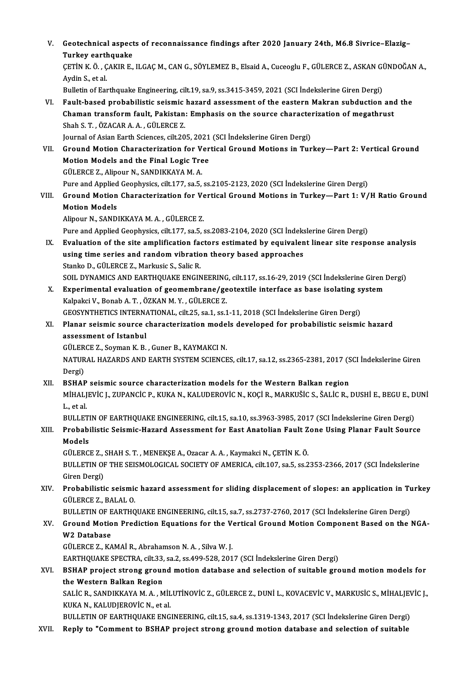V. Geotechnical aspects of reconnaissance findings after 2020 January 24th, M6.8 Sivrice–Elazig–<br>Turkey sarthaueks **Geotechnical aspect<br>Turkey earthquake<br>CETIN K Ö, GAKIR E** Geotechnical aspects of reconnaissance findings after 2020 January 24th, M6.8 Sivrice–Elazig–<br>Turkey earthquake<br>ÇETİN K. Ö. , ÇAKIR E., ILGAÇ M., CAN G., SÖYLEMEZ B., Elsaid A., Cuceoglu F., GÜLERCE Z., ASKAN GÜNDOĞAN A.,<br> Turkey earth<br>ÇETİN K. Ö. , Ç<br>Aydin S., et al.<br>Pulletin ef For ÇETİN K. Ö. , ÇAKIR E., ILGAÇ M., CAN G., SÖYLEMEZ B., Elsaid A., Cuceoglu F., GÜLERCE Z., ASKAN GI<br>Aydin S., et al.<br>Bulletin of Earthquake Engineering, cilt.19, sa.9, ss.3415-3459, 2021 (SCI İndekslerine Giren Dergi)<br>Faul Aydin S., et al.<br>Bulletin of Earthquake Engineering, cilt.19, sa.9, ss.3415-3459, 2021 (SCI İndekslerine Giren Dergi)<br>VI. Fault-based probabilistic seismic hazard assessment of the eastern Makran subduction and the Bulletin of Earthquake Engineering, cilt.19, sa.9, ss.3415-3459, 2021 (SCI İndekslerine Giren Dergi)<br>Fault-based probabilistic seismic hazard assessment of the eastern Makran subduction and<br>Chaman transform fault, Pakistan Fault-based probabilistic seismic<br>Chaman transform fault, Pakistan<br>Shah S. T. , ÖZACAR A. A. , GÜLERCE Z.<br>Journal of Asian Farth Ssianses, silt 20. Chaman transform fault, Pakistan: Emphasis on the source characte:<br>Shah S. T. , ÖZACAR A. A. , GÜLERCE Z.<br>Journal of Asian Earth Sciences, cilt.205, 2021 (SCI İndekslerine Giren Dergi)<br>Cround Motion Characterization for Ve Shah S. T. , ÖZACAR A. A. , GÜLERCE Z.<br>Journal of Asian Earth Sciences, cilt.205, 2021 (SCI İndekslerine Giren Dergi)<br>VII. Ground Motion Characterization for Vertical Ground Motions in Turkey—Part 2: Vertical Ground<br>Motion Journal of Asian Earth Sciences, cilt,205, 2021<br>Ground Motion Characterization for Ver<br>Motion Models and the Final Logic Tree<br>C<sup>ill EDCE 7</sup>, Alipour N, SANDIKKAVA M, A Ground Motion Characterization for V<br>Motion Models and the Final Logic Tre<br>GÜLERCE Z., Alipour N., SANDIKKAYA M. A.<br>Pure and Annlied Coophysics silt 177, 80 E Motion Models and the Final Logic Tree<br>GÜLERCE Z., Alipour N., SANDIKKAYA M. A.<br>Pure and Applied Geophysics, cilt.177, sa.5, ss.2105-2123, 2020 (SCI İndekslerine Giren Dergi) GÜLERCE Z., Alipour N., SANDIKKAYA M. A.<br>Pure and Applied Geophysics, cilt.177, sa.5, ss.2105-2123, 2020 (SCI İndekslerine Giren Dergi)<br>VIII. Ground Motion Characterization for Vertical Ground Motions in Turkey—Part 1: Pure and Applied<br>Ground Motion<br>Motion Models<br>Alinour N. SAND Ground Motion Characterization for Ve<br>Motion Models<br>Alipour N., SANDIKKAYA M. A. , GÜLERCE Z.<br>Pure and Annlied Coophysies, silt 177, sa 5, s Motion Models<br>Alipour N., SANDIKKAYA M. A. , GÜLERCE Z.<br>Pure and Applied Geophysics, cilt.177, sa.5, ss.2083-2104, 2020 (SCI İndekslerine Giren Dergi) Alipour N., SANDIKKAYA M. A. , GÜLERCE Z.<br>Pure and Applied Geophysics, cilt.177, sa.5, ss.2083-2104, 2020 (SCI İndekslerine Giren Dergi)<br>IX. Evaluation of the site amplification factors estimated by equivalent linear site Pure and Applied Geophysics, cilt.177, sa.5, ss.2083-2104, 2020 (SCI İndeks<br>Evaluation of the site amplification factors estimated by equivalen<br>using time series and random vibration theory based approaches<br>Stanke D. CÜLED Evaluation of the site amplification factorized.<br>Stanko D., GÜLERCE Z., Markusic S., Salic R.<br>SOU, DVNAMICS AND FARTHOUAKE ENCIN using time series and random vibration theory based approaches<br>Stanko D., GÜLERCE Z., Markusic S., Salic R.<br>SOIL DYNAMICS AND EARTHQUAKE ENGINEERING, cilt.117, ss.16-29, 2019 (SCI İndekslerine Giren Dergi)<br>Experimental eva Stanko D., GÜLERCE Z., Markusic S., Salic R.<br>SOIL DYNAMICS AND EARTHQUAKE ENGINEERING, cilt.117, ss.16-29, 2019 (SCI İndekslerine Giren<br>X. Experimental evaluation of geomembrane/geotextile interface as base isolating syste SOIL DYNAMICS AND EARTHQUAKE ENGINEERING<br>Experimental evaluation of geomembrane/ge<br>Kalpakci V., Bonab A. T. , ÖZKAN M. Y. , GÜLERCE Z.<br>CEOSVNTHETICS INTERNATIONAL , silt 25, ss 1, ss 1 Experimental evaluation of geomembrane/geotextile interface as base isolating sy<br>Kalpakci V., Bonab A. T. , ÖZKAN M. Y. , GÜLERCE Z.<br>GEOSYNTHETICS INTERNATIONAL, cilt.25, sa.1, ss.1-11, 2018 (SCI İndekslerine Giren Dergi)<br> Kalpakci V., Bonab A. T. , ÖZKAN M. Y. , GÜLERCE Z.<br>GEOSYNTHETICS INTERNATIONAL, cilt.25, sa.1, ss.1-11, 2018 (SCI İndekslerine Giren Dergi)<br>XI. Planar seismic source characterization models developed for probabilistic sei GEOSYNTHETICS INTERNA<br>Planar seismic source<br>assessment of Istanbul<br>CÜLEPCE 7. Souman K. B. Planar seismic source characterization mode<br>assessment of Istanbul<br>GÜLERCE Z., Soyman K. B. , Guner B., KAYMAKCI N.<br>MATURAL HAZARDS AND FARTH SYSTEM SCIENCE assessment of Istanbul<br>GÜLERCE Z., Soyman K. B. , Guner B., KAYMAKCI N.<br>NATURAL HAZARDS AND EARTH SYSTEM SCIENCES, cilt.17, sa.12, ss.2365-2381, 2017 (SCI İndekslerine Giren<br>Dergi) GÜLERCE Z., Soyman K. B., Guner B., KAYMAKCI N. NATURAL HAZARDS AND EARTH SYSTEM SCIENCES, cilt.17, sa.12, ss.2365-2381, 2017 (S<br>Dergi)<br>XII. BSHAP seismic source characterization models for the Western Balkan region<br>MUALIEVIC L ZUBANCIC B KUKA N. KALUDEROVIC N. KOCLB, M MİHALJEVİC J., ZUPANCİC P., KUKA N., KALUDEROVİC N., KOÇİ R., MARKUŠİC S., ŠALİC R., DUSHİ E., BEGU E., DUNİ<br>L., et al. **BSHAP<br>MİHALJ**<br>L., et al.<br>PIH I ET BULLETIN OF EARTHQUAKE ENGINEERING, cilt.15, sa.10, ss.3963-3985, 2017 (SCI İndekslerine Giren Dergi) L., et al.<br>BULLETIN OF EARTHQUAKE ENGINEERING, cilt.15, sa.10, ss.3963-3985, 2017 (SCI İndekslerine Giren Dergi)<br>XIII. Probabilistic Seismic-Hazard Assessment for East Anatolian Fault Zone Using Planar Fault Source<br>Med BULLET<br><mark>Probabi</mark><br>Models<br>CÜLEPCI Probabilistic Seismic-Hazard Assessment for East Anatolian Fault Z<br>Models<br>GÜLERCE Z., SHAH S. T. , MENEKŞE A., Ozacar A. A. , Kaymakci N., ÇETİN K. Ö.<br>BULLETIN OF THE SEISMOLOGICAL SOGIETY OF AMERICA .silt 197, 33 5, 33 3 Models<br>GÜLERCE Z., SHAH S. T. , MENEKŞE A., Ozacar A. A. , Kaymakci N., ÇETİN K. Ö.<br>BULLETIN OF THE SEISMOLOGICAL SOCIETY OF AMERICA, cilt.107, sa.5, ss.2353-2366, 2017 (SCI İndekslerine<br>Giren Dergi) GÜLERCE Z., SHAH S. T., MENEKSE A., Ozacar A. A., Kaymakci N., CETİN K. Ö. BULLETIN OF THE SEISMOLOGICAL SOCIETY OF AMERICA, cilt.107, sa.5, ss.2353-2366, 2017 (SCI İndekslerine<br>Giren Dergi)<br>XIV. Probabilistic seismic hazard assessment for sliding displacement of slopes: an application in Turkey<br> Giren Dergi)<br><mark>Probabilistic seismi</mark><br>GÜLERCE Z., BALAL O.<br>PULLETIN OF FAPTHO Probabilistic seismic hazard assessment for sliding displacement of slopes: an application in Tu<br>GÜLERCE Z., BALAL O.<br>BULLETIN OF EARTHQUAKE ENGINEERING, cilt.15, sa.7, ss.2737-2760, 2017 (SCI İndekslerine Giren Dergi)<br>Cro GÜLERCE Z., BALAL O.<br>BULLETIN OF EARTHQUAKE ENGINEERING, cilt.15, sa.7, ss.2737-2760, 2017 (SCI İndekslerine Giren Dergi)<br>XV. Ground Motion Prediction Equations for the Vertical Ground Motion Component Based on the NGA BULLETIN OF E<br>Ground Motio<br>W2 Database<br>CÜLEPCE 7 - KA Ground Motion Prediction Equations for the V<br>W2 Database<br>GÜLERCE Z., KAMAİ R., Abrahamson N. A. , Silva W. J.<br>FARTHOUAKE SPECTRA, silt 22, ss 2, ss 400,528, 201 W2 Database<br>GÜLERCE Z., KAMAİ R., Abrahamson N. A. , Silva W. J.<br>EARTHQUAKE SPECTRA, cilt.33, sa.2, ss.499-528, 2017 (SCI İndekslerine Giren Dergi)<br>PSHAR projest strong ground motion database and selestion of suitable gro GÜLERCE Z., KAMAİ R., Abrahamson N. A. , Silva W. J.<br>EARTHQUAKE SPECTRA, cilt.33, sa.2, ss.499-528, 2017 (SCI İndekslerine Giren Dergi)<br>XVI. BSHAP project strong ground motion database and selection of suitable ground moti EARTHQUAKE SPECTRA, cilt.33,<br>BSHAP project strong grour<br>the Western Balkan Region BSHAP project strong ground motion database and selection of suitable ground motion models for<br>the Western Balkan Region<br>SALİC R., SANDIKKAYA M. A. , MİLUTİNOVİC Z., GÜLERCE Z., DUNİ L., KOVACEVİC V., MARKUSİC S., MİHALJEV the Western Balkan Region<br>SALIC R., SANDIKKAYA M. A. , MIL<br>KUKA N., KALUDJEROVIC N., et al.<br>PULLETIN OF FARTHOUA*VE* ENC SALİC R., SANDIKKAYA M. A. , MİLUTİNOVİC Z., GÜLERCE Z., DUNİ L., KOVACEVİC V., MARKUSİC S., MİHALJEV<br>KUKA N., KALUDJEROVİC N., et al.<br>BULLETIN OF EARTHQUAKE ENGINEERING, cilt.15, sa.4, ss.1319-1343, 2017 (SCI İndekslerine KUKA N., KALUDJEROVIC N., et al.<br>BULLETIN OF EARTHQUAKE ENGINEERING, cilt.15, sa.4, ss.1319-1343, 2017 (SCI Indekslerine Giren Dergi)<br>XVII. Reply to "Comment to BSHAP project strong ground motion database and selection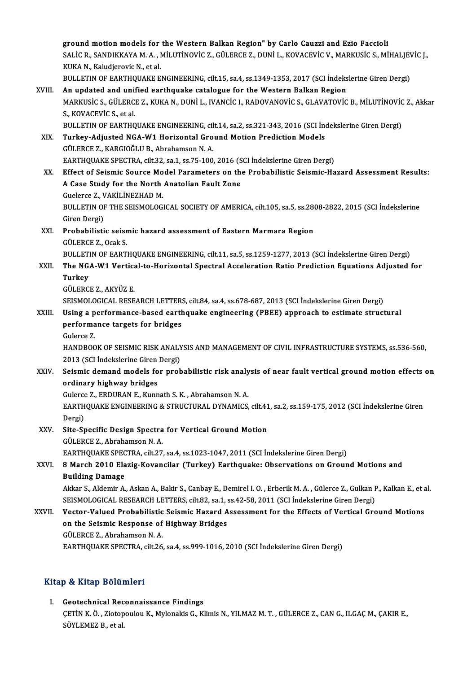ground motion models for the Western Balkan Region" by Carlo Cauzzi and Ezio Faccioli<br>SALIC R. SANDIKKANA A. ANU UTINOVIC 7. CÜLERCE 7. DUNU L. KOVACEVIC V. MARKUSIC S. Mİ ground motion models for the Western Balkan Region" by Carlo Cauzzi and Ezio Faccioli<br>SALİC R., SANDIKKAYA M. A. , MİLUTİNOVİC Z., GÜLERCE Z., DUNİ L., KOVACEVİC V., MARKUSİC S., MİHALJEVİC J.,<br>KUKA N. Kaludianavia N. et a **ground motion models for<br>SALIC R., SANDIKKAYA M. A. , I<br>KUKA N., Kaludjerovic N., et al.<br>PULLETIN OF FAPTHOUAKE E** SALİC R., SANDIKKAYA M. A. , MİLUTİNOVİC Z., GÜLERCE Z., DUNİ L., KOVACEVİC V., MARKUSİC S., MİHALJEV<br>KUKA N., Kaludjerovic N., et al.<br>BULLETIN OF EARTHQUAKE ENGINEERING, cilt.15, sa.4, ss.1349-1353, 2017 (SCI İndekslerine KUKA N., Kaludjerovic N., et al.<br>BULLETIN OF EARTHQUAKE ENGINEERING, cilt.15, sa.4, ss.1349-1353, 2017 (SCI İndekslerine Giren Dergi)<br>XVIII. An updated and unified earthquake catalogue for the Western Balkan Region BULLETIN OF EARTHQUAKE ENGINEERING, cilt.15, sa.4, ss.1349-1353, 2017 (SCI İndekslerine Giren Dergi)<br>An updated and unified earthquake catalogue for the Western Balkan Region<br>MARKUSİC S., GÜLERCE Z., KUKA N., DUNİ L., IVAN An updated and unif<br>MARKUSİC S., GÜLERC<br>S., KOVACEVİC S., et al.<br>PULLETIN OF FAPTHO MARKUSİC S., GÜLERCE Z., KUKA N., DUNİ L., IVANCİC I., RADOVANOVİC S., GLAVATOVİC B., MİLUTİNOVİC<br>S., KOVACEVİC S., et al.<br>BULLETIN OF EARTHQUAKE ENGINEERING, cilt.14, sa.2, ss.321-343, 2016 (SCI İndekslerine Giren Dergi)<br> S., KOVACEVIC S., et al.<br>BULLETIN OF EARTHQUAKE ENGINEERING, cilt.14, sa.2, ss.321-343, 2016 (SCI Ind<br>XIX. Turkey-Adjusted NGA-W1 Horizontal Ground Motion Prediction Models<br>CULERCE 7 - KARCIOČLU B. Abrahamson N.A. BULLETIN OF EARTHQUAKE ENGINEERING, cil<br>Turkey-Adjusted NGA-W1 Horizontal Gro<br>GÜLERCE Z., KARGIOĞLU B., Abrahamson N. A. Turkey-Adjusted NGA-W1 Horizontal Ground Motion Prediction Models<br>GÜLERCE Z., KARGIOĞLU B., Abrahamson N. A.<br>EARTHQUAKE SPECTRA, cilt.32, sa.1, ss.75-100, 2016 (SCI İndekslerine Giren Dergi)<br>Effect of Seismis Source Model GÜLERCE Z., KARGIOĞLU B., Abrahamson N. A.<br>EARTHQUAKE SPECTRA, cilt.32, sa.1, ss.75-100, 2016 (SCI İndekslerine Giren Dergi)<br>XX. Effect of Seismic Source Model Parameters on the Probabilistic Seismic-Hazard Assessment Resu EARTHQUAKE SPECTRA, cilt.32, sa.1, ss.75-100, 2016 (S<br>Effect of Seismic Source Model Parameters on the<br>A Case Study for the North Anatolian Fault Zone<br>Cuelerse 7, MARILINEZHAD M Effect of Seismic Source Mo<br>A Case Study for the North<br>Guelerce Z., VAKİLİNEZHAD M.<br>PULLETIN OF THE SEISMOLOC. A Case Study for the North Anatolian Fault Zone<br>Guelerce Z., VAKİLİNEZHAD M.<br>BULLETIN OF THE SEISMOLOGICAL SOCIETY OF AMERICA, cilt.105, sa.5, ss.2808-2822, 2015 (SCI İndekslerine<br>Ciron Dergi) Guelerce Z., V<br>BULLETIN OF<br>Giren Dergi)<br>Prehebilisti BULLETIN OF THE SEISMOLOGICAL SOCIETY OF AMERICA, cilt.105, sa.5, ss.28<br>Giren Dergi)<br>XXI. Probabilistic seismic hazard assessment of Eastern Marmara Region Giren Dergi)<br>XXI. Probabilistic seismic hazard assessment of Eastern Marmara Region<br>GÜLERCE Z., Ocak S. BULLETIN OF EARTHQUAKE ENGINEERING, cilt.11, sa.5, ss.1259-1277, 2013 (SCI İndekslerine Giren Dergi) GÜLERCE Z., Ocak S.<br>BULLETIN OF EARTHQUAKE ENGINEERING, cilt.11, sa.5, ss.1259-1277, 2013 (SCI İndekslerine Giren Dergi)<br>XXII. The NGA-W1 Vertical-to-Horizontal Spectral Acceleration Ratio Prediction Equations Adjusted **BULLET**<br>The NG<br>Turkey<br>CÜLEPC The NGA-W1 Vertica<br>Turkey<br>GÜLERCE Z., AKYÜZ E.<br>SEISMOLOCICAL BESE Turkey<br>GÜLERCE Z., AKYÜZ E.<br>SEISMOLOGICAL RESEARCH LETTERS, cilt.84, sa.4, ss.678-687, 2013 (SCI İndekslerine Giren Dergi)<br>Heing a narformange based eartbauake engineering (PBEE) annroash te estimate struct GÜLERCE Z., AKYÜZ E.<br>SEISMOLOGICAL RESEARCH LETTERS, cilt.84, sa.4, ss.678-687, 2013 (SCI İndekslerine Giren Dergi)<br>XXIII. Using a performance-based earthquake engineering (PBEE) approach to estimate structural<br>performance SEISMOLOGICAL RESEARCH LETTER:<br>Using a performance-based earth<br>performance targets for bridges<br>Cularce 7 Using a p<br>performa<br>Gulerce Z.<br>HANDROO performance targets for bridges<br>Gulerce Z.<br>HANDBOOK OF SEISMIC RISK ANALYSIS AND MANAGEMENT OF CIVIL INFRASTRUCTURE SYSTEMS, ss.536-560. 2013 (SCI İndekslerine Giren Dergi) HANDBOOK OF SEISMIC RISK ANALYSIS AND MANAGEMENT OF CIVIL INFRASTRUCTURE SYSTEMS, ss.536-560,<br>2013 (SCI İndekslerine Giren Dergi)<br>XXIV. Seismic demand models for probabilistic risk analysis of near fault vertical ground mo 2013 (SCI Indekslerine Giren<br>Seismic demand models fo<br>ordinary highway bridges<br>Culares 7 EPDUPAN E Kunn Seismic demand models for probabilistic risk analy<br>ordinary highway bridges<br>Gulerce Z., ERDURAN E., Kunnath S. K. , Abrahamson N. A.<br>EARTHOUAKE ENCINEERING & STRUGTURAL DYNAMICS ordinary highway bridges<br>Gulerce Z., ERDURAN E., Kunnath S. K. , Abrahamson N. A.<br>EARTHQUAKE ENGINEERING & STRUCTURAL DYNAMICS, cilt.41, sa.2, ss.159-175, 2012 (SCI İndekslerine Giren Gulerce<br>EARTH<br>Dergi)<br>Site Sr EARTHQUAKE ENGINEERING & STRUCTURAL DYNAMICS, cilt.41<br>Dergi)<br>XXV. Site-Specific Design Spectra for Vertical Ground Motion Dergi)<br>Site-Specific Design Spectra<br>GÜLERCE Z., Abrahamson N. A.<br>FARTHOUALE SPECTRA .sit 27. Site-Specific Design Spectra for Vertical Ground Motion<br>GÜLERCE Z., Abrahamson N. A.<br>EARTHQUAKE SPECTRA, cilt.27, sa.4, ss.1023-1047, 2011 (SCI İndekslerine Giren Dergi)<br>8 Mareh 2010 Elegia Kovengiler (Turkey), Farthauelse GÜLERCE Z., Abrahamson N. A.<br>EARTHQUAKE SPECTRA, cilt.27, sa.4, ss.1023-1047, 2011 (SCI İndekslerine Giren Dergi)<br>XXVI. 8 March 2010 Elazig-Kovancilar (Turkey) Earthquake: Observations on Ground Motions and<br>Building Damage EARTHQUAKE SPEC<br>8 March 2010 Ela<br>Building Damage<br>Akkar S. Aldomir A 8 March 2010 Elazig-Kovancilar (Turkey) Earthquake: Observations on Ground Motions and<br>Building Damage<br>Akkar S., Aldemir A., Askan A., Bakir S., Canbay E., Demirel I. O. , Erberik M. A. , Gülerce Z., Gulkan P., Kalkan E., Building Damage<br>Akkar S., Aldemir A., Askan A., Bakir S., Canbay E., Demirel I. O. , Erberik M. A. , Gülerce Z., Gulkan F<br>SEISMOLOGICAL RESEARCH LETTERS, cilt.82, sa.1, ss.42-58, 2011 (SCI İndekslerine Giren Dergi)<br>Vester SEISMOLOGICAL RESEARCH LETTERS, cilt.82, sa.1, ss.42-58, 2011 (SCI İndekslerine Giren Dergi)<br>XXVII. Vector-Valued Probabilistic Seismic Hazard Assessment for the Effects of Vertical Ground Motions SEISMOLOGICAL RESEARCH LETTERS, cilt.82, sa.1, s<br>Vector-Valued Probabilistic Seismic Hazard A<br>on the Seismic Response of Highway Bridges<br>C<sup>ill EDCE 7</sup>, Abrahamson N.A **Vector-Valued Probabilistic<br>on the Seismic Response of<br>GÜLERCE Z., Abrahamson N.A.**<br>EARTHOUA*VE* SPECTRA silt 26 GÜLERCE Z., Abrahamson N. A.<br>EARTHQUAKE SPECTRA, cilt.26, sa.4, ss.999-1016, 2010 (SCI İndekslerine Giren Dergi)

### Kitap & Kitap Bölümleri

I. Geotechnical Reconnaissance Findings y & Krap Bordmich<br>Geotechnical Reconnaissance Findings<br>ÇETİN K. Ö. , Ziotopoulou K., Mylonakis G., Klimis N., YILMAZ M. T. , GÜLERCE Z., CAN G., ILGAÇ M., ÇAKIR E.,<br>SÖVLEMEZ B. et al. Geotechnical Rec<br>ÇETİN K. Ö. , Ziotop<br>SÖYLEMEZ B., et al.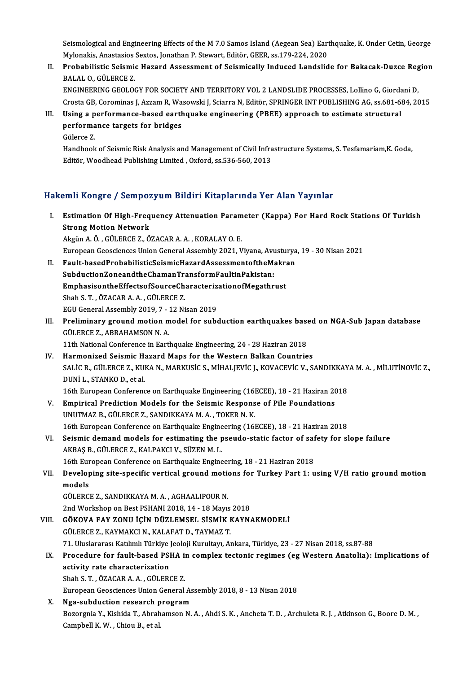Seismological and Engineering Effects of the M 7.0 Samos Island (Aegean Sea) Earthquake, K. Onder Cetin, George<br>Mylonakia, Anastasias Seytes, Jonathan B. Stewart, Editër, GEEB, se 170,224, 2020 Seismological and Engineering Effects of the M 7.0 Samos Island (Aegean Sea) Eart<br>Mylonakis, Anastasios Sextos, Jonathan P. Stewart, Editör, GEER, ss.179-224, 2020<br>Prehabilistia Seismia Harard Assessment of Seismiselly Ind Seismological and Engineering Effects of the M 7.0 Samos Island (Aegean Sea) Earthquake, K. Onder Cetin, George<br>Mylonakis, Anastasios Sextos, Jonathan P. Stewart, Editör, GEER, ss.179-224, 2020<br>II. Probabilistic Seismic Ha

- Mylonakis, Anastasios Sextos, Jonathan P. Stewart, Editör, GEER, ss.179-224, 2020<br>II. Probabilistic Seismic Hazard Assessment of Seismically Induced Landslide for Bakacak-Duzce Region<br>BALAL O., GÜLERCE Z. Probabilistic Seismic Hazard Assessment of Seismically Induced Landslide for Bakacak-Duzce Reg<br>BALAL O., GÜLERCE Z.<br>ENGINEERING GEOLOGY FOR SOCIETY AND TERRITORY VOL 2 LANDSLIDE PROCESSES, Lollino G, Giordani D,<br>Cresta CB BALAL O., GÜLERCE Z.<br>ENGINEERING GEOLOGY FOR SOCIETY AND TERRITORY VOL 2 LANDSLIDE PROCESSES, Lollino G, Giordani D,<br>Crosta GB, Corominas J, Azzam R, Wasowski J, Sciarra N, Editör, SPRINGER INT PUBLISHING AG, ss.681-684, 2 ENGINEERING GEOLOGY FOR SOCIETY AND TERRITORY VOL 2 LANDSLIDE PROCESSES, Lollino G, Giorda<br>Crosta GB, Corominas J, Azzam R, Wasowski J, Sciarra N, Editör, SPRINGER INT PUBLISHING AG, ss.681-68<br>III. Using a performance-base
- Crosta GB, Corominas J, Azzam R, Wa<br>Using a performance-based earth<br>performance targets for bridges<br>Cülerce 7 Using a <mark>p</mark><br>performa<br>Gülerce Z.<br>Handbook performance targets for bridges<br>Gülerce Z.<br>Handbook of Seismic Risk Analysis and Management of Civil Infrastructure Systems, S. Tesfamariam,K. Goda,<br>Editër Weedbeed Publishing Limited, Ovford, se 526,560,2012

Gülerce Z.<br>Handbook of Seismic Risk Analysis and Management of Civil Infra<br>Editör, Woodhead Publishing Limited , Oxford, ss.536-560, 2013

## Editör, Woodhead Publishing Limited , Oxford, ss.536-560, 2013<br>Hakemli Kongre / Sempozyum Bildiri Kitaplarında Yer Alan Yayınlar

- akemli Kongre / Sempozyum Bildiri Kitaplarında Yer Alan Yayınlar<br>I. Estimation Of High-Frequency Attenuation Parameter (Kappa) For Hard Rock Stations Of Turkish<br>Strong Metion Network Strong Motion Of High-Freq<br>Strong Motion Network<br>Almin A.Ö. CÜLERCE 7.Ö Strong Motion Network<br>Akgün A. Ö. , GÜLERCE Z., ÖZACAR A. A. , KORALAY O. E. Strong Motion Network<br>Akgün A. Ö. , GÜLERCE Z., ÖZACAR A. A. , KORALAY O. E.<br>European Geosciences Union General Assembly 2021, Viyana, Avusturya, 19 - 30 Nisan 2021<br>Fault besed BrebeblikitisSeismisHarard AssessmentsftbeMel
- II. Fault-basedProbabilisticSeismicHazardAssessmentoftheMakran<br>SubductionZoneandtheChamanTransformFaultinPakistan: European Geosciences Union General Assembly 2021, Viyana, Avu<br>Fault-basedProbabilisticSeismicHazardAssessmentoftheMa<br>SubductionZoneandtheChamanTransformFaultinPakistan:<br>EmphasisontheEffectsefSourseCharastorizationefMesathr Fault-basedProbabilisticSeismicHazardAssessmentoftheMakra<br>SubductionZoneandtheChamanTransformFaultinPakistan:<br>EmphasisontheEffectsofSourceCharacterizationofMegathrust<br>Shah S.T. ÖZACAR A.A. CÜLEPCE Z Shah S. T., ÖZACAR A. A., GÜLERCE Z.<br>EGU General Assembly 2019, 7 - 12 Nisan 2019 EmphasisontheEffectsofSourceCharacteriz<br>Shah S. T. , ÖZACAR A. A. , GÜLERCE Z.<br>EGU General Assembly 2019, 7 - 12 Nisan 2019<br>Preliminary ground motion model for sube
- Shah S. T. , ÖZACAR A. A. , GÜLERCE Z.<br>EGU General Assembly 2019, 7 12 Nisan 2019<br>III. Preliminary ground motion model for subduction earthquakes based on NGA-Sub Japan database<br>CÜLERCE Z. APRAHAMSON N.A. EGU General Assembly 2019, 7 - :<br>Preliminary ground motion m<br>GÜLERCE Z., ABRAHAMSON N. A. Preliminary ground motion model for subduction earthquakes base<br>GÜLERCE Z., ABRAHAMSON N. A.<br>11th National Conference in Earthquake Engineering, 24 - 28 Haziran 2018<br>Harmonined Seismis Hanard Mans for the Western Balkan Co GÜLERCE Z., ABRAHAMSON N. A.<br>11th National Conference in Earthquake Engineering, 24 - 28 Haziran 2018<br>IV. Harmonized Seismic Hazard Maps for the Western Balkan Countries
- 11th National Conference in Earthquake Engineering, 24 28 Haziran 2018<br>Harmonized Seismic Hazard Maps for the Western Balkan Countries<br>SALİC R., GÜLERCE Z., KUKA N., MARKUSİC S., MİHALJEVİC J., KOVACEVİC V., SANDIKKAYA M Harmonized Seismic H:<br>SALİC R., GÜLERCE Z., KU<br>DUNİ L., STANKO D., et al.<br>16th Euronean Conforenc SALİC R., GÜLERCE Z., KUKA N., MARKUSİC S., MİHALJEVİC J., KOVACEVİC V., SANDIKKAY<br>DUNİ L., STANKO D., et al.<br>16th European Conference on Earthquake Engineering (16ECEE), 18 - 21 Haziran 2018<br>Emninisal Prodistion Models fo

16th European Conference on Earthquake Engineering (16ECEE), 18 - 21 Haziran 2018

- DUNI L., STANKO D., et al.<br>16th European Conference on Earthquake Engineering (16ECEE), 18 21 Haziran 20<br>V. Empirical Prediction Models for the Seismic Response of Pile Foundations<br>UNUTMAZ B., GÜLERCE Z., SANDIKKAYA M. A 16th European Conference on Earthquake Engineering (16ECEE), 18 - 21 Haziran 2018 UNUTMAZ B., GÜLERCE Z., SANDIKKAYA M. A., TOKER N. K.<br>16th European Conference on Earthquake Engineering (16ECEE), 18 - 21 Haziran 2018<br>VI. Seismic demand models for estimating the pseudo-static factor of safety for slope
- 16th European Conference on Earthquake Engine<br>Seismic demand models for estimating the p<br>AKBAŞ B., GÜLERCE Z., KALPAKCI V., SÜZEN M. L.<br>16th European Conference on Earthquake Engine Seismic demand models for estimating the pseudo-static factor of safe<br>AKBAŞ B., GÜLERCE Z., KALPAKCI V., SÜZEN M. L.<br>16th European Conference on Earthquake Engineering, 18 - 21 Haziran 2018<br>Developing site specific vertice

AKBAŞ B., GÜLERCE Z., KALPAKCI V., SÜZEN M. L.<br>16th European Conference on Earthquake Engineering, 18 - 21 Haziran 2018<br>VII. Developing site-specific vertical ground motions for Turkey Part 1: using V/H ratio ground mo 16th Eur<br>Develop<br>models<br>Cüreper Developing site-specific vertical ground motion<br>models<br>GÜLERCE Z., SANDIKKAYA M. A. , AGHAALIPOUR N.<br>2nd Werksbop op Pest PSHANL2018, 14, 19 Mayre

models<br>GÜLERCE Z., SANDIKKAYA M. A. , AGHAALIPOUR N.<br>2nd Workshop on Best PSHANI 2018, 14 - 18 Mayıs 2018<br>GÖKOVA FAV ZONU İCİN DÜZI EMSEL SİSMİK KAYN

- GÜLERCE Z., SANDIKKAYA M. A., AGHAALIPOUR N.<br>2nd Workshop on Best PSHANI 2018, 14 18 Mayıs 2018<br>VIII. GÖKOVA FAY ZONU İÇİN DÜZLEMSEL SİSMİK KAYNAKMODELİ<br>CÜLERCE 7. KAYMAKCI N. KALAFAT D. TAYMAZ T. 2nd Workshop on Best PSHANI 2018, 14 - 18 Mayıs<br>GÖKOVA FAY ZONU İÇİN DÜZLEMSEL SİSMİK I<br>GÜLERCE Z., KAYMAKCI N., KALAFAT D., TAYMAZ T.<br>71 Hinelararacı Katılımlı Türkiye loolaji Kumultan. A 71.UluslararasıKatılımlıTürkiye JeolojiKurultayı,Ankara,Türkiye,23 -27Nisan2018, ss.87-88 GÜLERCE Z., KAYMAKCI N., KALAFAT D., TAYMAZ T.<br>71. Uluslararası Katılımlı Türkiye Jeoloji Kurultayı, Ankara, Türkiye, 23 - 27 Nisan 2018, ss.87-88<br>IX. Procedure for fault-based PSHA in complex tectonic regimes (eg West
	- 71. Uluslararası Katılımlı Türkiye ]<br>Procedure for fault-based PSI<br>activity rate characterization<br>Shah S.T. ÖZACAR A.A. CÜLER( Procedure for fault-based PSHA in<br>activity rate characterization<br>Shah S. T. , ÖZACAR A. A. , GÜLERCE Z.<br>European Coossionees Union Coneval activity rate characterization<br>Shah S. T. , ÖZACAR A. A. , GÜLERCE Z.<br>European Geosciences Union General Assembly 2018, 8 - 13 Nisan 2018
		-

X. Nga-subduction research program European Geosciences Union General Assembly 2018, 8 - 13 Nisan 2018<br>**Nga-subduction research program**<br>Bozorgnia Y., Kishida T., Abrahamson N. A. , Ahdi S. K. , Ancheta T. D. , Archuleta R. J. , Atkinson G., Boore D. M. ,<br>C Nga-subduction research p<br>Bozorgnia Y., Kishida T., Abrah<br>Campbell K. W. , Chiou B., et al.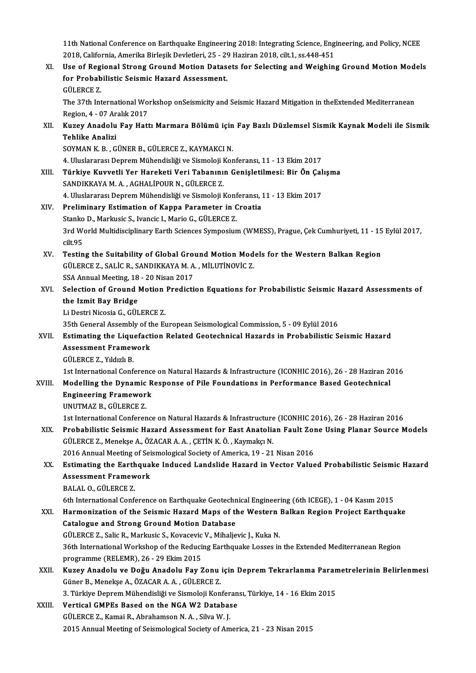11th National Conference on Earthquake Engineering 2018: Integrating Science, Engineering, and Policy, NCEE<br>2018. Colifornia, Amerika Birlesik Dovlatleri, 25 – 20 Heginen 2018, cilt 1, 20,448,454 2018, 11th National Conference on Earthquake Engineering 2018: Integrating Science, Eng<br>2018, California, Amerika Birleşik Devletleri, 25 - 29 Haziran 2018, cilt.1, ss.448-451<br>Use of Bogional Strong Cround Motion Detasets 11th National Conference on Earthquake Engineering 2018: Integrating Science, Engineering, and Policy, NCEE<br>2018, California, Amerika Birleşik Devletleri, 25 - 29 Haziran 2018, cilt.1, ss.448-451<br>XI. Use of Regional Strong

2018, California, Amerika Birleşik Devletleri, 25 - 29 Haziran 2018, cilt.1, ss.448-451<br>XI. Use of Regional Strong Ground Motion Datasets for Selecting and Weighing Ground Motion Models<br>for Probabilistic Seismic Hazard Ass for Probabilistic Seismic Hazard Assessment. for Probabilistic Seismic Hazard Assessment.<br>GÜLERCE Z.<br>The 37th International Workshop onSeismicity and Seismic Hazard Mitigation in theExtended Mediterranean<br>Region 4, .07.Arakk 2017

GÜLERCE Z.<br>The 37th International Wo:<br>Region, 4 - 07 Aralık 2017<br>Kuzey Anadelu Fey Hett Region, 4 - 07 Aralık 2017

XII. Kuzey Anadolu Fay Hattı Marmara Bölümü için Fay Bazlı Düzlemsel Sismik Kaynak Modeli ile Sismik<br>Tehlike Analizi Tehlike Analizi<br>SOYMAN K. B. , GÜNER B., GÜLERCE Z., KAYMAKCI N.<br>4. Uluslararası Deprem Mühendisliği ve Sismoloji Konferansı, 11 - 13 Ekim 2017<br>Türkiye Kuywetli Yer Hereketi Veri Tehenının Cenisletilmesi; Bir Ön Cel

SOYMAN K.B., GÜNER B., GÜLERCE Z., KAYMAKCI N.

XIII. Türkiye Kuvvetli Yer Hareketi Veri Tabanının Genişletilmesi: Bir Ön Çalışma<br>SANDIKKAYA M. A., AGHALİPOUR N., GÜLERCE Z. 4. Uluslararası Deprem Mühendisliği ve Sismoloji I<br><mark>Türkiye Kuvvetli Yer Hareketi Veri Tabanını</mark><br>SANDIKKAYA M. A. , AGHALİPOUR N., GÜLERCE Z.<br>4. Uluslararası Deprem Mühandisliği ve Sismoloji I Türkiye Kuvvetli Yer Hareketi Veri Tabanının Genişletilmesi: Bir Ön Çal<br>SANDIKKAYA M. A. , AGHALİPOUR N., GÜLERCE Z.<br>4. Uluslararası Deprem Mühendisliği ve Sismoloji Konferansı, 11 - 13 Ekim 2017<br>Preliminery Estimation of

### XIV. Preliminary Estimation of Kappa Parameter in Croatia 4. Uluslararası Deprem Mühendisliği ve Sismoloji Konf<br>Preliminary Estimation of Kappa Parameter in C<br>Stanko D., Markusic S., Ivancic I., Mario G., GÜLERCE Z.<br>2rd World Multidissiplinary Farth Ssianses Sympasium Preliminary Estimation of Kappa Parameter in Croatia<br>Stanko D., Markusic S., Ivancic I., Mario G., GÜLERCE Z.<br>3rd World Multidisciplinary Earth Sciences Symposium (WMESS), Prague, Çek Cumhuriyeti, 11 - 15 Eylül 2017,<br>silt Stanko<br>3rd Wo<br>cilt.95<br>Testin 3rd World Multidisciplinary Earth Sciences Symposium (WMESS), Prague, Çek Cumhuriyeti, 11 - 15<br>cilt.95<br>XV. Testing the Suitability of Global Ground Motion Models for the Western Balkan Region<br>Cilt EPCE 7, SALIC B, SANDIKKA

- cilt.95<br>Testing the Suitability of Global Ground Motion Mod<br>GÜLERCE Z., SALİC R., SANDIKKAYA M. A. , MİLUTİNOVİC Z.<br>SSA Annuel Mesting 19, 20 Nisan 2017 Testing the Suitability of Global Gro<br>GÜLERCE Z., SALİC R., SANDIKKAYA M. A<br>SSA Annual Meeting, 18 - 20 Nisan 2017<br>Salastian of Cround Mation Brodisti SSA Annual Meeting, 18 - 20 Nisan 2017
- GÜLERCE Z., SALIC R., SANDIKKAYA M. A. , MILUTINOVIC Z.<br>SSA Annual Meeting, 18 20 Nisan 2017<br>XVI. Selection of Ground Motion Prediction Equations for Probabilistic Seismic Hazard Assessments of<br>the Izmit Bay Bridge the Izmit Bay Bridge<br>Li Destri Nicosia G., GÜLERCE Z.<br>35th General Assembly of the European Seismological Commission, 5 - 09 Eylül 2016<br>Estimating the Liquefaction Belated Ceateshnical Hagards in Brobabilistic S

Li Destri Nicosia G., GÜLERCE Z.

### Li Destri Nicosia G., GÜLERCE Z.<br>35th General Assembly of the European Seismological Commission, 5 - 09 Eylül 2016<br>XVII. Estimating the Liquefaction Related Geotechnical Hazards in Probabilistic Seismic Hazard<br>Assessment E 35th General Assembly of the<br>Estimating the Liquefact<br>Assessment Framework<br>CÜLEPCE 7 - Vildrh P Estimating the Lique<br>Assessment Framev<br>GÜLERCE Z., Yıldızlı B.<br>1st International Conf Assessment Framework<br>GÜLERCE Z., Yıldızlı B.<br>1st International Conference on Natural Hazards & Infrastructure (ICONHIC 2016), 26 - 28 Haziran 2016<br>Modelling the Dunamia Beanones of Bile Foundations in Berformanes Besed Cos

GÜLERCE Z., Yıldızlı B.<br>1st International Conference on Natural Hazards & Infrastructure (ICONHIC 2016), 26 - 28 Haziran 20<br>2011. Modelling the Dynamic Response of Pile Foundations in Performance Based Geotechnical<br>5. Engi 1st International Conference<br>Modelling the Dynamic R<br>Engineering Framework<br>UNUTMAZ B. CÜLEDCE Z UNUTMAZ B., GÜLERCE Z.

1st InternationalConference onNaturalHazards&Infrastructure (ICONHIC2016),26 -28Haziran2016

UNUTMAZ B., GÜLERCE Z.<br>1st International Conference on Natural Hazards & Infrastructure (ICONHIC 2016), 26 - 28 Haziran 2016<br>XIX. Probabilistic Seismic Hazard Assessment for East Anatolian Fault Zone Using Planar Source Mo 1st International Conference on Natural Hazards & Infrastructure<br>Probabilistic Seismic Hazard Assessment for East Anatolia<br>GÜLERCE Z., Menekşe A., ÖZACAR A. A. , ÇETİN K. Ö. , Kaymakçı N.<br>2016 Annual Meeting of Seismologia Probabilistic Seismic Hazard Assessment for East Anatolian Fault Zor<br>GÜLERCE Z., Menekşe A., ÖZACAR A. A. , ÇETİN K. Ö. , Kaymakçı N.<br>2016 Annual Meeting of Seismological Society of America, 19 - 21 Nisan 2016<br>Estimating t

## GÜLERCE Z., Menekşe A., ÖZACAR A. A. , ÇETİN K. Ö. , Kaymakçı N.<br>2016 Annual Meeting of Seismological Society of America, 19 - 21 Nisan 2016<br>XX. Estimating the Earthquake Induced Landslide Hazard in Vector Valued Proba 2016 Annual Meeting of Seismological Society of America, 19 - 21 Nisan 2016<br>Estimating the Earthquake Induced Landslide Hazard in Vector Value<br>Assessment Framework<br>BALAL 0., GÜLERCE Z. Estimating the Earth<br>Assessment Framew<br>BALAL O., GÜLERCE Z.<br>Eth International Confe

6th International Conference on Earthquake Geotechnical Engineering (6th ICEGE), 1 - 04 Kasım 2015

### BALAL O., GÜLERCE Z.<br>6th International Conference on Earthquake Geotechnical Engineering (6th ICEGE), 1 - 04 Kasım 2015<br>XXI. Harmonization of the Seismic Hazard Maps of the Western Balkan Region Project Earthquake<br>Cata Catalogue and Strong Ground Motion Database Harmonization of the Seismic Hazard Maps of the Western 1<br>Catalogue and Strong Ground Motion Database<br>GÜLERCE Z., Salic R., Markusic S., Kovacevic V., Mihaljevic J., Kuka N.<br>26th International Werkshap of the Bedusing Fart GÜLERCE Z., Salic R., Markusic S., Kovacevic V., Mihaljevic J., Kuka N.

36th International Workshop of the Reducing Earthquake Losses in the Extended Mediterranean Region<br>programme (RELEMR), 26 - 29 Ekim 2015 36th International Workshop of the Reducing Earthquake Losses in the Extended Mediterranean Region<br>programme (RELEMR), 26 - 29 Ekim 2015<br>XXII. Kuzey Anadolu ve Doğu Anadolu Fay Zonu için Deprem Tekrarlanma Parametrelerinin

## programme (RELEMR), 26 - 29 Ekim 2015<br><mark>Kuzey Anadolu ve Doğu Anadolu Fay Zonu</mark><br>Güner B., Menekşe A., ÖZACAR A. A. , GÜLERCE Z.<br><sup>2.</sup> Türkiye Denrem Mühendieliği ve Sismeleji Ken Kuzey Anadolu ve Doğu Anadolu Fay Zonu için Deprem Tekrarlanma Paran<br>Güner B., Menekşe A., ÖZACAR A. A. , GÜLERCE Z.<br>3. Türkiye Deprem Mühendisliği ve Sismoloji Konferansı, Türkiye, 14 - 16 Ekim 2015<br>Vertisel GMBEs Besed e

### Güner B., Menekşe A., ÖZACAR A. A. , GÜLERCE Z.<br>3. Türkiye Deprem Mühendisliği ve Sismoloji Konferan<br>XXIII. Vertical GMPEs Based on the NGA W2 Database<br>CÜLERCE Z. Kamai B. Abrahamson N. A. Silva W. L 3. Türkiye Deprem Mühendisliği ve Sismoloji Konfer<br>Vertical GMPEs Based on the NGA W2 Databas<br>GÜLERCE Z., Kamai R., Abrahamson N. A. , Silva W. J.<br>2015 Annual Meeting of Seismological Seciety of Am Vertical GMPEs Based on the NGA W2 Database<br>GÜLERCE Z., Kamai R., Abrahamson N. A. , Silva W. J.<br>2015 Annual Meeting of Seismological Society of America, 21 - 23 Nisan 2015